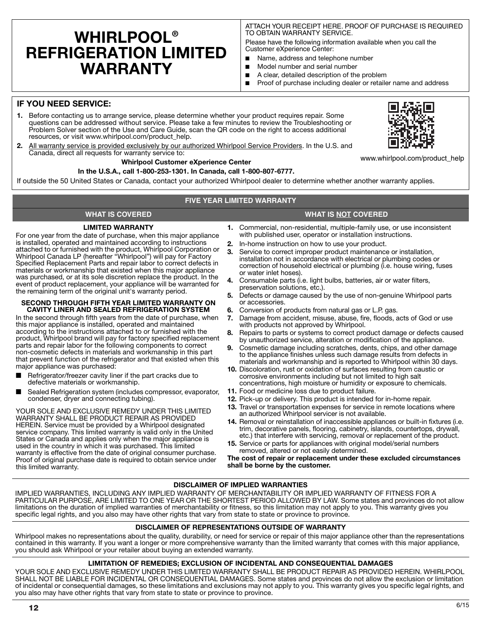# **WHIRLPOOL® REFRIGERATION LIMITED WARRANTY**

**LIMITED WARRANTY** For one year from the date of purchase, when this major appliance is installed, operated and maintained according to instructions attached to or furnished with the product, Whirlpool Corporation or Whirlpool Canada LP (hereafter "Whirlpool") will pay for Factory Specified Replacement Parts and repair labor to correct defects in materials or workmanship that existed when this major appliance was purchased, or at its sole discretion replace the product. In the event of product replacement, your appliance will be warranted for

**SECOND THROUGH FIFTH YEAR LIMITED WARRANTY ON CAVITY LINER AND SEALED REFRIGERATION SYSTEM** In the second through fifth years from the date of purchase, when this major appliance is installed, operated and maintained according to the instructions attached to or furnished with the product, Whirlpool brand will pay for factory specified replacement parts and repair labor for the following components to correct non-cosmetic defects in materials and workmanship in this part that prevent function of the refrigerator and that existed when this

Refrigerator/freezer cavity liner if the part cracks due to

YOUR SOLE AND EXCLUSIVE REMEDY UNDER THIS LIMITED WARRANTY SHALL BE PRODUCT REPAIR AS PROVIDED HEREIN. Service must be provided by a Whirlpool designated service company. This limited warranty is valid only in the United States or Canada and applies only when the major appliance is used in the country in which it was purchased. This limited warranty is effective from the date of original consumer purchase. Proof of original purchase date is required to obtain service under

Sealed Refrigeration system (includes compressor, evaporator,

the remaining term of the original unit's warranty period.

major appliance was purchased:

this limited warranty.

defective materials or workmanship.

condenser, dryer and connecting tubing).

ATTACH YOUR RECEIPT HERE. PROOF OF PURCHASE IS REQUIRED TO OBTAIN WARRANTY SERVICE.

Please have the following information available when you call the Customer eXperience Center:

- Name, address and telephone number
- Model number and serial number
- A clear, detailed description of the problem
- Proof of purchase including dealer or retailer name and address

# **IF YOU NEED SERVICE:**

- **1.** Before contacting us to arrange service, please determine whether your product requires repair. Some questions can be addressed without service. Please take a few minutes to review the Troubleshooting or Problem Solver section of the Use and Care Guide, scan the QR code on the right to access additional resources, or visit www.whirlpool.com/product\_help.
- **2.** All warranty service is provided exclusively by our authorized Whirlpool Service Providers. In the U.S. and Canada, direct all requests for warranty service to:

# **Whirlpool Customer eXperience Center**

# **In the U.S.A., call 1-800-253-1301. In Canada, call 1-800-807-6777.**

If outside the 50 United States or Canada, contact your authorized Whirlpool dealer to determine whether another warranty applies.

# **FIVE YEAR LIMITED WARRANTY**

# **WHAT IS COVERED WHAT IS NOT COVERED**

- **1.** Commercial, non-residential, multiple-family use, or use inconsistent with published user, operator or installation instructions.
- **2.** In-home instruction on how to use your product.
- **3.** Service to correct improper product maintenance or installation, installation not in accordance with electrical or plumbing codes or correction of household electrical or plumbing (i.e. house wiring, fuses or water inlet hoses).
- **4.** Consumable parts (i.e. light bulbs, batteries, air or water filters, preservation solutions, etc.).
- **5.** Defects or damage caused by the use of non-genuine Whirlpool parts or accessories.
- **6.** Conversion of products from natural gas or L.P. gas.<br>**7.** Damage from accident, misuse, abuse, fire, floods, a
- **7.** Damage from accident, misuse, abuse, fire, floods, acts of God or use with products not approved by Whirlpool.
- **8.** Repairs to parts or systems to correct product damage or defects caused by unauthorized service, alteration or modification of the appliance.
- **9.** Cosmetic damage including scratches, dents, chips, and other damage to the appliance finishes unless such damage results from defects in materials and workmanship and is reported to Whirlpool within 30 days.
- **10.** Discoloration, rust or oxidation of surfaces resulting from caustic or corrosive environments including but not limited to high salt concentrations, high moisture or humidity or exposure to chemicals.
- **11.** Food or medicine loss due to product failure.
- **12.** Pick-up or delivery. This product is intended for in-home repair.
- **13.** Travel or transportation expenses for service in remote locations where an authorized Whirlpool servicer is not available.
- **14.** Removal or reinstallation of inaccessible appliances or built-in fixtures (i.e. trim, decorative panels, flooring, cabinetry, islands, countertops, drywall, etc.) that interfere with servicing, removal or replacement of the product.
- **15.** Service or parts for appliances with original model/serial numbers removed, altered or not easily determined.

**The cost of repair or replacement under these excluded circumstances shall be borne by the customer.** 

# **DISCLAIMER OF IMPLIED WARRANTIES**

IMPLIED WARRANTIES, INCLUDING ANY IMPLIED WARRANTY OF MERCHANTABILITY OR IMPLIED WARRANTY OF FITNESS FOR A PARTICULAR PURPOSE, ARE LIMITED TO ONE YEAR OR THE SHORTEST PERIOD ALLOWED BY LAW. Some states and provinces do not allow limitations on the duration of implied warranties of merchantability or fitness, so this limitation may not apply to you. This warranty gives you specific legal rights, and you also may have other rights that vary from state to state or province to province.

# **DISCLAIMER OF REPRESENTATIONS OUTSIDE OF WARRANTY**

Whirlpool makes no representations about the quality, durability, or need for service or repair of this major appliance other than the representations contained in this warranty. If you want a longer or more comprehensive warranty than the limited warranty that comes with this major appliance, you should ask Whirlpool or your retailer about buying an extended warranty.

# **LIMITATION OF REMEDIES; EXCLUSION OF INCIDENTAL AND CONSEQUENTIAL DAMAGES**

YOUR SOLE AND EXCLUSIVE REMEDY UNDER THIS LIMITED WARRANTY SHALL BE PRODUCT REPAIR AS PROVIDED HEREIN. WHIRLPOOL SHALL NOT BE LIABLE FOR INCIDENTAL OR CONSEQUENTIAL DAMAGES. Some states and provinces do not allow the exclusion or limitation of incidental or consequential damages, so these limitations and exclusions may not apply to you. This warranty gives you specific legal rights, and you also may have other rights that vary from state to state or province to province.



www.whirlpool.com/product\_help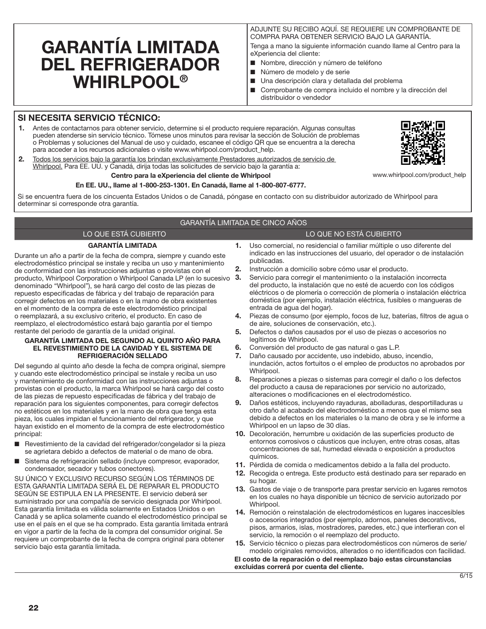# GARANTÍA LIMITADA DEL REFRIGERADOR WHIRLPOOL®

ADJUNTE SU RECIBO AQUÍ. SE REQUIERE UN COMPROBANTE DE COMPRA PARA OBTENER SERVICIO BAJO LA GARANTÍA. Tenga a mano la siguiente información cuando llame al Centro para la eXperiencia del cliente:

- Nombre, dirección y número de teléfono
- Número de modelo y de serie
- Una descripción clara y detallada del problema
- Comprobante de compra incluido el nombre y la dirección del distribuidor o vendedor

# SI NECESITA SERVICIO TÉCNICO:

- 1. Antes de contactarnos para obtener servicio, determine si el producto requiere reparación. Algunas consultas pueden atenderse sin servicio técnico. Tómese unos minutos para revisar la sección de Solución de problemas o Problemas y soluciones del Manual de uso y cuidado, escanee el código QR que se encuentra a la derecha para acceder a los recursos adicionales o visite www.whirlpool.com/product\_help.
- 2. Todos los servicios bajo la garantía los brindan exclusivamente Prestadores autorizados de servicio de Whirlpool. Para EE. UU. y Canadá, dirija todas las solicitudes de servicio bajo la garantía a:

### Centro para la eXperiencia del cliente de Whirlpool

## En EE. UU., llame al 1-800-253-1301. En Canadá, llame al 1-800-807-6777.

Si se encuentra fuera de los cincuenta Estados Unidos o de Canadá, póngase en contacto con su distribuidor autorizado de Whirlpool para determinar si corresponde otra garantía.

# GARANTÍA LIMITADA DE CINCO AÑOS

# LO QUE ESTÁ CUBIERTO LO QUE NO ESTÁ CUBIERTO

### GARANTÍA LIMITADA

Durante un año a partir de la fecha de compra, siempre y cuando este electrodoméstico principal se instale y reciba un uso y mantenimiento de conformidad con las instrucciones adjuntas o provistas con el producto, Whirlpool Corporation o Whirlpool Canada LP (en lo sucesivo 3. denominado "Whirlpool"), se hará cargo del costo de las piezas de repuesto especificadas de fábrica y del trabajo de reparación para corregir defectos en los materiales o en la mano de obra existentes en el momento de la compra de este electrodoméstico principal o reemplazará, a su exclusivo criterio, el producto. En caso de reemplazo, el electrodoméstico estará bajo garantía por el tiempo restante del periodo de garantía de la unidad original.

#### GARANTÍA LIMITADA DEL SEGUNDO AL QUINTO AÑO PARA EL REVESTIMIENTO DE LA CAVIDAD Y EL SISTEMA DE REFRIGERACIÓN SELLADO

Del segundo al quinto año desde la fecha de compra original, siempre y cuando este electrodoméstico principal se instale y reciba un uso y mantenimiento de conformidad con las instrucciones adjuntas o provistas con el producto, la marca Whirlpool se hará cargo del costo de las piezas de repuesto especificadas de fábrica y del trabajo de reparación para los siguientes componentes, para corregir defectos no estéticos en los materiales y en la mano de obra que tenga esta pieza, los cuales impidan el funcionamiento del refrigerador, y que hayan existido en el momento de la compra de este electrodoméstico principal:

- Revestimiento de la cavidad del refrigerador/congelador si la pieza se agrietara debido a defectos de material o de mano de obra.
- Sistema de refrigeración sellado (incluye compresor, evaporador, condensador, secador y tubos conectores).

SU ÚNICO Y EXCLUSIVO RECURSO SEGÚN LOS TÉRMINOS DE ESTA GARANTÍA LIMITADA SERÁ EL DE REPARAR EL PRODUCTO SEGÚN SE ESTIPULA EN LA PRESENTE. El servicio deberá ser suministrado por una compañía de servicio designada por Whirlpool. Esta garantía limitada es válida solamente en Estados Unidos o en Canadá y se aplica solamente cuando el electrodoméstico principal se use en el país en el que se ha comprado. Esta garantía limitada entrará en vigor a partir de la fecha de la compra del consumidor original. Se requiere un comprobante de la fecha de compra original para obtener servicio bajo esta garantía limitada.

- 1. Uso comercial, no residencial o familiar múltiple o uso diferente del indicado en las instrucciones del usuario, del operador o de instalación publicadas.
- 2. Instrucción a domicilio sobre cómo usar el producto.
- 3. Servicio para corregir el mantenimiento o la instalación incorrecta del producto, la instalación que no esté de acuerdo con los códigos eléctricos o de plomería o corrección de plomería o instalación eléctrica doméstica (por ejemplo, instalación eléctrica, fusibles o mangueras de entrada de agua del hogar).
- 4. Piezas de consumo (por ejemplo, focos de luz, baterías, filtros de agua o de aire, soluciones de conservación, etc.).
- 5. Defectos o daños causados por el uso de piezas o accesorios no legítimos de Whirlpool.
- 6. Conversión del producto de gas natural o gas L.P.
- 7. Daño causado por accidente, uso indebido, abuso, incendio, inundación, actos fortuitos o el empleo de productos no aprobados por Whirlpool.
- 8. Reparaciones a piezas o sistemas para corregir el daño o los defectos del producto a causa de reparaciones por servicio no autorizado, alteraciones o modificaciones en el electrodoméstico.
- 9. Daños estéticos, incluyendo rayaduras, abolladuras, desportilladuras u otro daño al acabado del electrodoméstico a menos que el mismo sea debido a defectos en los materiales o la mano de obra y se le informe a Whirlpool en un lapso de 30 días.
- 10. Decoloración, herrumbre u oxidación de las superficies producto de entornos corrosivos o cáusticos que incluyen, entre otras cosas, altas concentraciones de sal, humedad elevada o exposición a productos químicos.
- 11. Pérdida de comida o medicamentos debido a la falla del producto.
- 12. Recogida o entrega. Este producto está destinado para ser reparado en su hogar.
- 13. Gastos de viaje o de transporte para prestar servicio en lugares remotos en los cuales no haya disponible un técnico de servicio autorizado por Whirlpool.
- 14. Remoción o reinstalación de electrodomésticos en lugares inaccesibles o accesorios integrados (por ejemplo, adornos, paneles decorativos, pisos, armarios, islas, mostradores, paredes, etc.) que interfieran con el servicio, la remoción o el reemplazo del producto.
- 15. Servicio técnico o piezas para electrodomésticos con números de serie/ modelo originales removidos, alterados o no identificados con facilidad.

El costo de la reparación o del reemplazo bajo estas circunstancias excluidas correrá por cuenta del cliente.





www.whirlpool.com/product\_help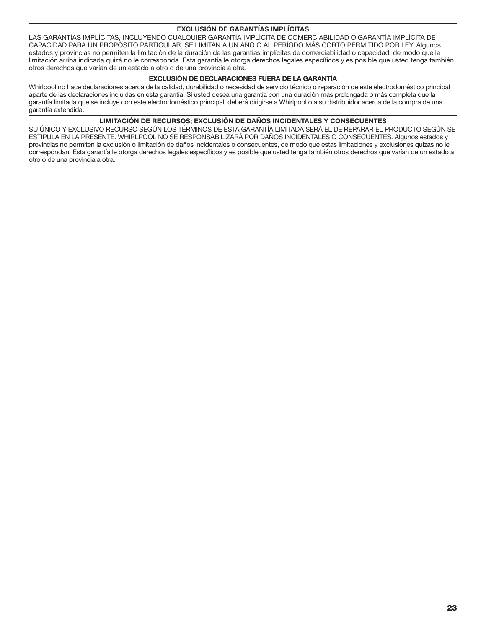# EXCLUSIÓN DE GARANTÍAS IMPLÍCITAS

LAS GARANTÍAS IMPLÍCITAS, INCLUYENDO CUALQUIER GARANTÍA IMPLÍCITA DE COMERCIABILIDAD O GARANTÍA IMPLÍCITA DE CAPACIDAD PARA UN PROPÓSITO PARTICULAR, SE LIMITAN A UN AÑO O AL PERÍODO MÁS CORTO PERMITIDO POR LEY. Algunos estados y provincias no permiten la limitación de la duración de las garantías implícitas de comerciabilidad o capacidad, de modo que la limitación arriba indicada quizá no le corresponda. Esta garantía le otorga derechos legales específicos y es posible que usted tenga también otros derechos que varían de un estado a otro o de una provincia a otra.

## EXCLUSIÓN DE DECLARACIONES FUERA DE LA GARANTÍA

Whirlpool no hace declaraciones acerca de la calidad, durabilidad o necesidad de servicio técnico o reparación de este electrodoméstico principal aparte de las declaraciones incluidas en esta garantía. Si usted desea una garantía con una duración más prolongada o más completa que la garantía limitada que se incluye con este electrodoméstico principal, deberá dirigirse a Whirlpool o a su distribuidor acerca de la compra de una garantía extendida.

## LIMITACIÓN DE RECURSOS; EXCLUSIÓN DE DAÑOS INCIDENTALES Y CONSECUENTES

SU ÚNICO Y EXCLUSIVO RECURSO SEGÚN LOS TÉRMINOS DE ESTA GARANTÍA LIMITADA SERÁ EL DE REPARAR EL PRODUCTO SEGÚN SE ESTIPULA EN LA PRESENTE. WHIRLPOOL NO SE RESPONSABILIZARÁ POR DAÑOS INCIDENTALES O CONSECUENTES. Algunos estados y provincias no permiten la exclusión o limitación de daños incidentales o consecuentes, de modo que estas limitaciones y exclusiones quizás no le correspondan. Esta garantía le otorga derechos legales específicos y es posible que usted tenga también otros derechos que varían de un estado a otro o de una provincia a otra.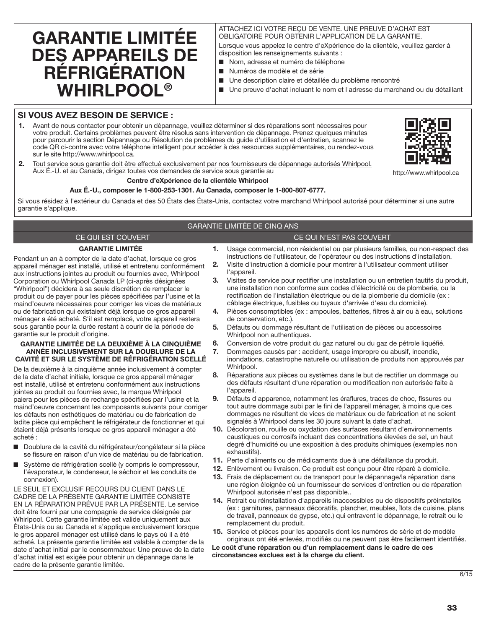# GARANTIE LIMITÉE DES APPAREILS DE RÉFRIGÉRATION **WHIRLPOOL®**

## ATTACHEZ ICI VOTRE REÇU DE VENTE. UNE PREUVE D'ACHAT EST OBLIGATOIRE POUR OBTENIR L'APPLICATION DE LA GARANTIE. Lorsque vous appelez le centre d'eXpérience de la clientèle, veuillez garder à

disposition les renseignements suivants : ■ Nom, adresse et numéro de téléphone

- Numéros de modèle et de série
- Une description claire et détaillée du problème rencontré
- Une preuve d'achat incluant le nom et l'adresse du marchand ou du détaillant

# SI VOUS AVEZ BESOIN DE SERVICE :

1. Avant de nous contacter pour obtenir un dépannage, veuillez déterminer si des réparations sont nécessaires pour votre produit. Certains problèmes peuvent être résolus sans intervention de dépannage. Prenez quelques minutes pour parcourir la section Dépannage ou Résolution de problèmes du guide d'utilisation et d'entretien, scannez le code QR ci-contre avec votre téléphone intelligent pour accéder à des ressources supplémentaires, ou rendez-vous sur le site http://www.whirlpool.ca.



http://www.whirlpool.ca

2. Tout service sous garantie doit être effectué exclusivement par nos fournisseurs de dépannage autorisés Whirlpool. Aux É.-U. et au Canada, dirigez toutes vos demandes de service sous garantie au

#### Centre d'eXpérience de la clientèle Whirlpool

#### Aux É.-U., composer le 1-800-253-1301. Au Canada, composer le 1-800-807-6777.

Si vous résidez à l'extérieur du Canada et des 50 États des États-Unis, contactez votre marchand Whirlpool autorisé pour déterminer si une autre garantie s'applique.

## GARANTIE LIMITÉE DE CINQ ANS

# CE QUI EST COUVERT CE QUI N'EST PAS COUVERT

GARANTIE LIMITÉE

Pendant un an à compter de la date d'achat, lorsque ce gros appareil ménager est installé, utilisé et entretenu conformément aux instructions jointes au produit ou fournies avec, Whirlpool Corporation ou Whirlpool Canada LP (ci-après désignées "Whirlpool") décidera à sa seule discrétion de remplacer le produit ou de payer pour les pièces spécifiées par l'usine et la maind'oeuvre nécessaires pour corriger les vices de matériaux ou de fabrication qui existaient déjà lorsque ce gros appareil ménager a été acheté. S'il est remplacé, votre appareil restera sous garantie pour la durée restant à courir de la période de garantie sur le produit d'origine.

#### GARANTIE LIMITÉE DE LA DEUXIÈME À LA CINQUIÈME ANNÉE INCLUSIVEMENT SUR LA DOUBLURE DE LA CAVITÉ ET SUR LE SYSTÈME DE RÉFRIGÉRATION SCELLÉ

De la deuxième à la cinquième année inclusivement à compter de la date d'achat initiale, lorsque ce gros appareil ménager est installé, utilisé et entretenu conformément aux instructions jointes au produit ou fournies avec, la marque Whirlpool paiera pour les pièces de rechange spécifiées par l'usine et la maind'oeuvre concernant les composants suivants pour corriger les défauts non esthétiques de matériau ou de fabrication de ladite pièce qui empêchent le réfrigérateur de fonctionner et qui étaient déjà présents lorsque ce gros appareil ménager a été acheté :

- Doublure de la cavité du réfrigérateur/congélateur si la pièce se fissure en raison d'un vice de matériau ou de fabrication.
- Système de réfrigération scellé (y compris le compresseur, l'évaporateur, le condenseur, le séchoir et les conduits de connexion).

LE SEUL ET EXCLUSIF RECOURS DU CLIENT DANS LE CADRE DE LA PRÉSENTE GARANTIE LIMITÉE CONSISTE EN LA RÉPARATION PRÉVUE PAR LA PRÉSENTE. Le service doit être fourni par une compagnie de service désignée par Whirlpool. Cette garantie limitée est valide uniquement aux États-Unis ou au Canada et s'applique exclusivement lorsque le gros appareil ménager est utilisé dans le pays où il a été acheté. La présente garantie limitée est valable à compter de la date d'achat initial par le consommateur. Une preuve de la date d'achat initial est exigée pour obtenir un dépannage dans le cadre de la présente garantie limitée.

- 1. Usage commercial, non résidentiel ou par plusieurs familles, ou non-respect des instructions de l'utilisateur, de l'opérateur ou des instructions d'installation.
- 2. Visite d'instruction à domicile pour montrer à l'utilisateur comment utiliser l'appareil.
- 3. Visites de service pour rectifier une installation ou un entretien fautifs du produit, une installation non conforme aux codes d'électricité ou de plomberie, ou la rectification de l'installation électrique ou de la plomberie du domicile (ex : câblage électrique, fusibles ou tuyaux d'arrivée d'eau du domicile).
- 4. Pièces consomptibles (ex : ampoules, batteries, filtres à air ou à eau, solutions de conservation, etc.).
- 5. Défauts ou dommage résultant de l'utilisation de pièces ou accessoires Whirlpool non authentiques.
- 6. Conversion de votre produit du gaz naturel ou du gaz de pétrole liquéfié.
- 7. Dommages causés par : accident, usage impropre ou abusif, incendie, inondations, catastrophe naturelle ou utilisation de produits non approuvés par Whirlpool.
- 8. Réparations aux pièces ou systèmes dans le but de rectifier un dommage ou des défauts résultant d'une réparation ou modification non autorisée faite à l'appareil.
- Défauts d'apparence, notamment les éraflures, traces de choc, fissures ou tout autre dommage subi par le fini de l'appareil ménager, à moins que ces dommages ne résultent de vices de matériaux ou de fabrication et ne soient signalés à Whirlpool dans les 30 jours suivant la date d'achat.
- 10. Décoloration, rouille ou oxydation des surfaces résultant d'environnements caustiques ou corrosifs incluant des concentrations élevées de sel, un haut degré d'humidité ou une exposition à des produits chimiques (exemples non exhaustifs).
- 11. Perte d'aliments ou de médicaments due à une défaillance du produit.
- 12. Enlèvement ou livraison. Ce produit est conçu pour être réparé à domicile.
- 13. Frais de déplacement ou de transport pour le dépannage/la réparation dans une région éloignée où un fournisseur de services d'entretien ou de réparation Whirlpool autorisée n'est pas disponible..
- 14. Retrait ou réinstallation d'appareils inaccessibles ou de dispositifs préinstallés (ex : garnitures, panneaux décoratifs, plancher, meubles, îlots de cuisine, plans de travail, panneaux de gypse, etc.) qui entravent le dépannage, le retrait ou le remplacement du produit.
- 15. Service et pièces pour les appareils dont les numéros de série et de modèle originaux ont été enlevés, modifiés ou ne peuvent pas être facilement identifiés.

Le coût d'une réparation ou d'un remplacement dans le cadre de ces circonstances exclues est à la charge du client.